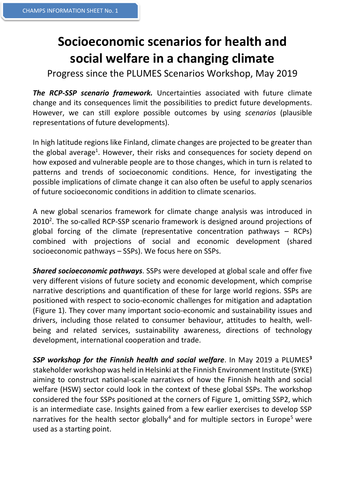## **Socioeconomic scenarios for health and social welfare in a changing climate**

Progress since the PLUMES Scenarios Workshop, May 2019

**The RCP-SSP scenario framework.** Uncertainties associated with future climate change and its consequences limit the possibilities to predict future developments. However, we can still explore possible outcomes by using *scenarios* (plausible representations of future developments).

In high latitude regions like Finland, climate changes are projected to be greater than the global average<sup>1</sup>. However, their risks and consequences for society depend on how exposed and vulnerable people are to those changes, which in turn is related to patterns and trends of socioeconomic conditions. Hence, for investigating the possible implications of climate change it can also often be useful to apply scenarios of future socioeconomic conditions in addition to climate scenarios.

A new global scenarios framework for climate change analysis was introduced in 2010<sup>2</sup>. The so-called RCP-SSP scenario framework is designed around projections of global forcing of the climate (representative concentration pathways – RCPs) combined with projections of social and economic development (shared socioeconomic pathways – SSPs). We focus here on SSPs.

*Shared socioeconomic pathways*. SSPs were developed at global scale and offer five very different visions of future society and economic development, which comprise narrative descriptions and quantification of these for large world regions. SSPs are positioned with respect to socio-economic challenges for mitigation and adaptation (Figure 1). They cover many important socio-economic and sustainability issues and drivers, including those related to consumer behaviour, attitudes to health, wellbeing and related services, sustainability awareness, directions of technology development, international cooperation and trade.

*SSP workshop for the Finnish health and social welfare*. In May 2019 a PLUMES**<sup>3</sup>** stakeholder workshop was held in Helsinki at the Finnish Environment Institute (SYKE) aiming to construct national-scale narratives of how the Finnish health and social welfare (HSW) sector could look in the context of these global SSPs. The workshop considered the four SSPs positioned at the corners of Figure 1, omitting SSP2, which is an intermediate case. Insights gained from a few earlier exercises to develop SSP narratives for the health sector globally<sup>4</sup> and for multiple sectors in Europe<sup>5</sup> were used as a starting point.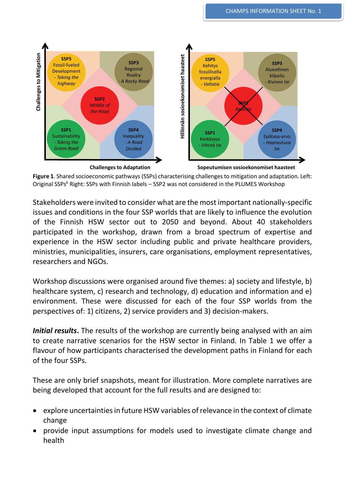

**Figure 1**. Shared socioeconomic pathways (SSPs) characterising challenges to mitigation and adaptation. Left: Original SSPs<sup>6</sup> Right: SSPs with Finnish labels – SSP2 was not considered in the PLUMES Workshop

Stakeholders were invited to consider what are the most important nationally-specific issues and conditions in the four SSP worlds that are likely to influence the evolution of the Finnish HSW sector out to 2050 and beyond. About 40 stakeholders participated in the workshop, drawn from a broad spectrum of expertise and experience in the HSW sector including public and private healthcare providers, ministries, municipalities, insurers, care organisations, employment representatives, researchers and NGOs.

Workshop discussions were organised around five themes: a) society and lifestyle, b) healthcare system, c) research and technology, d) education and information and e) environment. These were discussed for each of the four SSP worlds from the perspectives of: 1) citizens, 2) service providers and 3) decision-makers.

*Initial results*. The results of the workshop are currently being analysed with an aim to create narrative scenarios for the HSW sector in Finland. In Table 1 we offer a flavour of how participants characterised the development paths in Finland for each of the four SSPs.

These are only brief snapshots, meant for illustration. More complete narratives are being developed that account for the full results and are designed to:

- explore uncertainties in future HSW variables of relevance in the context of climate change
- provide input assumptions for models used to investigate climate change and health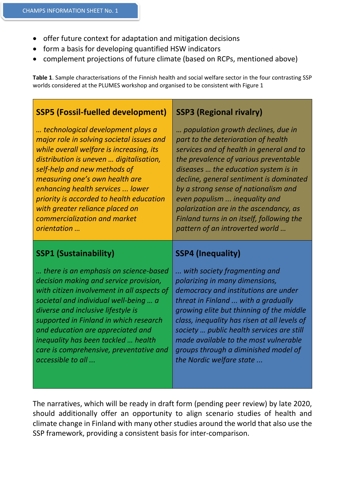- offer future context for adaptation and mitigation decisions
- form a basis for developing quantified HSW indicators
- complement projections of future climate (based on RCPs, mentioned above)

**Table 1**. Sample characterisations of the Finnish health and social welfare sector in the four contrasting SSP worlds considered at the PLUMES workshop and organised to be consistent with Figure 1

| <b>SSP5 (Fossil-fuelled development)</b>                                                                                                                                                                                                                                                                                                                                                                  | <b>SSP3 (Regional rivalry)</b>                                                                                                                                                                                                                                                                                                                                                                                                                       |
|-----------------------------------------------------------------------------------------------------------------------------------------------------------------------------------------------------------------------------------------------------------------------------------------------------------------------------------------------------------------------------------------------------------|------------------------------------------------------------------------------------------------------------------------------------------------------------------------------------------------------------------------------------------------------------------------------------------------------------------------------------------------------------------------------------------------------------------------------------------------------|
| technological development plays a<br>major role in solving societal issues and<br>while overall welfare is increasing, its<br>distribution is uneven  digitalisation,<br>self-help and new methods of<br>measuring one's own health are<br>enhancing health services  lower<br>priority is accorded to health education<br>with greater reliance placed on<br>commercialization and market<br>orientation | population growth declines, due in<br>part to the deterioration of health<br>services and of health in general and to<br>the prevalence of various preventable<br>diseases  the education system is in<br>decline, general sentiment is dominated<br>by a strong sense of nationalism and<br>even populism  inequality and<br>polarization are in the ascendancy, as<br>Finland turns in on itself, following the<br>pattern of an introverted world |
|                                                                                                                                                                                                                                                                                                                                                                                                           |                                                                                                                                                                                                                                                                                                                                                                                                                                                      |
| <b>SSP1 (Sustainability)</b>                                                                                                                                                                                                                                                                                                                                                                              | <b>SSP4 (Inequality)</b>                                                                                                                                                                                                                                                                                                                                                                                                                             |

The narratives, which will be ready in draft form (pending peer review) by late 2020, should additionally offer an opportunity to align scenario studies of health and climate change in Finland with many other studies around the world that also use the SSP framework, providing a consistent basis for inter-comparison.